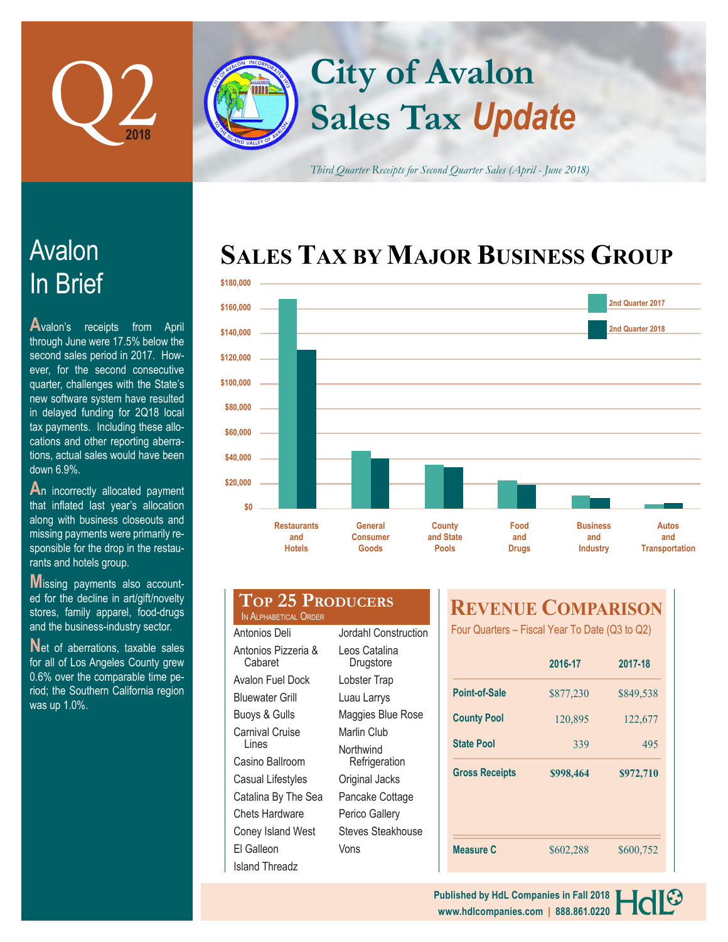

# **Sales Tax** *Update* **City of Avalon**

*Third Quarter Receipts for Second Quarter Sales (April - June 2018)*

# In Brief Avalon

**A**valon's receipts from April through June were 17.5% below the second sales period in 2017. However, for the second consecutive quarter, challenges with the State's new software system have resulted in delayed funding for 2Q18 local tax payments. Including these allocations and other reporting aberrations, actual sales would have been down 6.9%.

**A**n incorrectly allocated payment that inflated last year's allocation along with business closeouts and missing payments were primarily responsible for the drop in the restaurants and hotels group.

**M**issing payments also accounted for the decline in art/gift/novelty stores, family apparel, food-drugs and the business-industry sector.

Net of aberrations, taxable sales for all of Los Angeles County grew 0.6% over the comparable time period; the Southern California region was up 1.0%.

# **SALES TAX BY MAJOR BUSINESS GROUP**



|                       | <b>TOP 25 PRODUCERS</b> |
|-----------------------|-------------------------|
| IN ALPHABETICAL ORDER |                         |

| Antonios Deli                  | Jordahl Construction       |
|--------------------------------|----------------------------|
| Antonios Pizzeria &<br>Cabaret | Leos Catalina<br>Drugstore |
| Avalon Fuel Dock               | Lobster Trap               |
| Bluewater Grill                | Luau Larrys                |
| Buoys & Gulls                  | Maggies Blue Rose          |
| Carnival Cruise                | Marlin Club                |
| Lines                          | Northwind                  |
| Casino Ballroom                | Refrigeration              |
| Casual Lifestyles              | Original Jacks             |
| Catalina By The Sea            | Pancake Cottage            |
| Chets Hardware                 | Perico Gallery             |
| Coney Island West              | Steves Steakhouse          |
| El Galleon                     | Vons                       |
| Island Threadz                 |                            |
|                                |                            |

## **REVENUE COMPARISON**

Four Quarters – Fiscal Year To Date (Q3 to Q2)

|                       | 2016-17   | 2017-18   |  |
|-----------------------|-----------|-----------|--|
| <b>Point-of-Sale</b>  | \$877,230 | \$849,538 |  |
| <b>County Pool</b>    | 120,895   | 122,677   |  |
| <b>State Pool</b>     | 339       | 495       |  |
| <b>Gross Receipts</b> | \$998,464 | \$972,710 |  |
|                       |           |           |  |
|                       |           |           |  |
|                       |           |           |  |